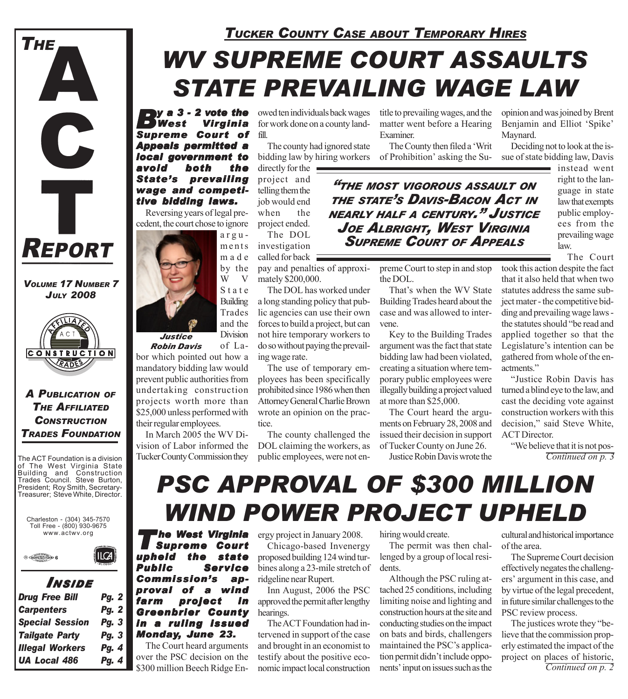

*VOLUME 17 NUMBER 7 JULY 2008*



*A PUBLICATION OF THE AFFILIATED CONSTRUCTION TRADES FOUNDATION*

The ACT Foundation is a division of The West Virginia State Building and Construction Trades Council. Steve Burton, President; Roy Smith, Secretary-Treasurer; Steve White, Director.

Charleston - (304) 345-7570 Toll Free - (800) 930-9675 www.actwv.org



#### *I NSIDE*

 $|LCA|$ 

| <b>Drug Free Bill</b>  | <b>Pg. 2</b> |
|------------------------|--------------|
| <b>Carpenters</b>      | <b>Pg. 2</b> |
| <b>Special Session</b> | Pg. 3        |
| <b>Tailgate Party</b>  | Pg. 3        |
| <b>Illegal Workers</b> | Pg. 4        |
| <b>UA Local 486</b>    | Pg. 4        |
|                        |              |

### *WV SUPREME COURT ASSAULTS TUCKER COUNTY CASE ABOUT TEMPORARY HIRES*

# *STATE PREVAILING WAGE LAW*

*By a 3 - 2 vote the* **Virginia** *Supreme Court of Appeals permitted a local government to avoid both the State's prevailing wage and competi- wage and competitive bidding laws.*

Reversing years of legal precedent, the court chose to ignore



of Labor which pointed out how a mandatory bidding law would prevent public authorities from undertaking construction projects worth more than \$25,000 unless performed with their regular employees. *Robin Davis*

In March 2005 the WV Division of Labor informed the Tucker County Commission they

owed ten individuals back wages for work done on a county landfill.

The county had ignored state bidding law by hiring workers

directly for the  $\blacksquare$ project and telling them the job would end when the project ended. The DOL

investigation called for back  $\equiv$ 

pay and penalties of approximately \$200,000.

The DOL has worked under a long standing policy that public agencies can use their own forces to build a project, but can not hire temporary workers to do so without paying the prevailing wage rate.

The use of temporary employees has been specifically prohibited since 1986 when then Attorney General Charlie Brown wrote an opinion on the practice.

The county challenged the DOL claiming the workers, as public employees, were not entitle to prevailing wages, and the matter went before a Hearing Examiner.

The County then filed a 'Writ of Prohibition' asking the Su-

*"THE MOST VIGOROUS ASSAULT ON THE STATE'S DAVIS-BACON ACT IN NEARLY HALF <sup>A</sup> CENTURY." JUSTICE JOE ALBRIGHT, WEST VIRGINIA SUPREME COURT OF APPEALS*

> preme Court to step in and stop the DOL.

That's when the WV State Building Trades heard about the case and was allowed to intervene.

Key to the Building Trades argument was the fact that state bidding law had been violated, creating a situation where temporary public employees were illegally building a project valued at more than \$25,000.

The Court heard the arguments on February 28, 2008 and issued their decision in support of Tucker County on June 26.

Justice Robin Davis wrote the

opinion and was joined by Brent Benjamin and Elliot 'Spike' Maynard.

Deciding not to look at the issue of state bidding law, Davis

> instead went right to the language in state law that exempts public employees from the prevailing wage law.

> > The Court

took this action despite the fact that it also held that when two statutes address the same subject mater - the competitive bidding and prevailing wage laws the statutes should "be read and applied together so that the Legislature's intention can be gathered from whole of the enactments."

"Justice Robin Davis has turned a blind eye to the law, and cast the deciding vote against construction workers with this decision," said Steve White, ACT Director.

"We believe that it is not pos-*Continued on p. 3*

# *PSC APPROVAL OF \$300 MILLION WIND POWER PROJECT UPHELD*

*'he West Virginia<br>Supreme Court<br>eld the state* **Supreme Court** *upheld the state Public Service Commission's ap- Commission's approval of a wind farm project in Greenbrier County in a ruling issued Monday, June 23. une 23.*

The Court heard arguments over the PSC decision on the

ergy project in January 2008. Chicago-based Invenergy proposed building 124 wind turbines along a 23-mile stretch of ridgeline near Rupert.

Inn August, 2006 the PSC approved the permit after lengthy hearings.

The ACT Foundation had intervened in support of the case and brought in an economist to testify about the positive ecohiring would create.

The permit was then challenged by a group of local residents.

\$300 million Beech Ridge En- nomic impact local construction nents' input on issues such as the *Continued on p. 2* Although the PSC ruling attached 25 conditions, including limiting noise and lighting and construction hours at the site and conducting studies on the impact on bats and birds, challengers maintained the PSC's application permit didn't include opponents' input on issues such as the

cultural and historical importance of the area.

The Supreme Court decision effectively negates the challengers' argument in this case, and by virtue of the legal precedent, in future similar challenges to the PSC review process.

The justices wrote they "believe that the commission properly estimated the impact of the project on places of historic,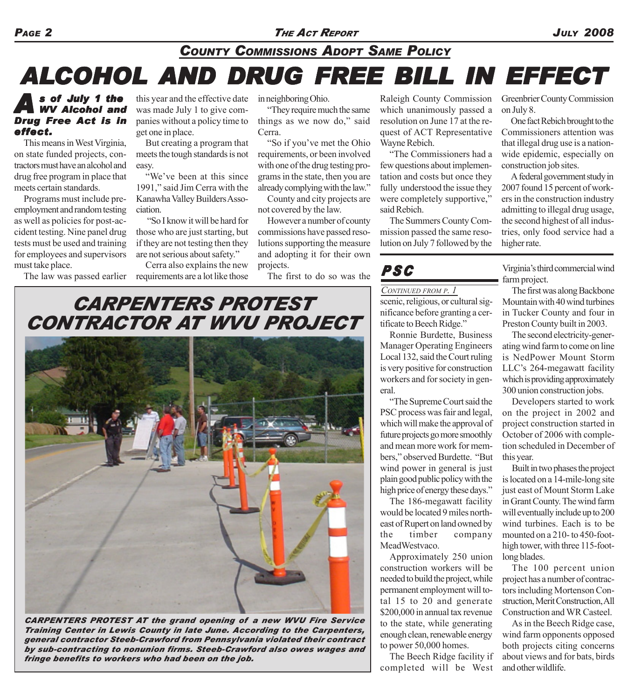## **ALCOHOL AND DRUG FREE BILL IN EFFECT** *COUNTY COMMISSIONS ADOPT SAME POLICY*

#### *A s of July 1 the WV Alcohol and Drug Free Act is in effect.*

This means in West Virginia, on state funded projects, contractors must have an alcohol and drug free program in place that meets certain standards.

Programs must include preemployment and random testing as well as policies for post-accident testing. Nine panel drug tests must be used and training for employees and supervisors must take place.

this year and the effective date was made July 1 to give companies without a policy time to get one in place.

But creating a program that meets the tough standards is not easy.

"We've been at this since 1991," said Jim Cerra with the Kanawha Valley Builders Association.

 "So I know it will be hard for those who are just starting, but if they are not testing then they are not serious about safety."

The law was passed earlier requirements are a lot like those Cerra also explains the new in neighboring Ohio.

"They require much the same things as we now do," said Cerra.

"So if you've met the Ohio requirements, or been involved with one of the drug testing programs in the state, then you are already complying with the law."

County and city projects are not covered by the law.

However a number of county commissions have passed resolutions supporting the measure and adopting it for their own projects.

The first to do so was the

Raleigh County Commission which unanimously passed a resolution on June 17 at the request of ACT Representative Wayne Rebich.

"The Commissioners had a few questions about implementation and costs but once they fully understood the issue they were completely supportive," said Rebich.

The Summers County Commission passed the same resolution on July 7 followed by the

### *PSC*

#### *CONTINUED FROM P. 1*

scenic, religious, or cultural significance before granting a certificate to Beech Ridge."

Ronnie Burdette, Business Manager Operating Engineers Local 132, said the Court ruling is very positive for construction workers and for society in general.

"The Supreme Court said the PSC process was fair and legal, which will make the approval of future projects go more smoothly and mean more work for members," observed Burdette. "But wind power in general is just plain good public policy with the high price of energy these days."

The 186-megawatt facility would be located 9 miles northeast of Rupert on land owned by the timber company MeadWestvaco.

Approximately 250 union construction workers will be needed to build the project, while permanent employment will total 15 to 20 and generate \$200,000 in annual tax revenue to the state, while generating enough clean, renewable energy to power 50,000 homes.

The Beech Ridge facility if completed will be West

Greenbrier County Commission on July 8.

One fact Rebich brought to the Commissioners attention was that illegal drug use is a nationwide epidemic, especially on construction job sites.

A federal government study in 2007 found 15 percent of workers in the construction industry admitting to illegal drug usage, the second highest of all industries, only food service had a higher rate.

Virginia's third commercial wind farm project.

The first was along Backbone Mountain with 40 wind turbines in Tucker County and four in Preston County built in 2003.

The second electricity-generating wind farm to come on line is NedPower Mount Storm LLC's 264-megawatt facility which is providing approximately 300 union construction jobs.

Developers started to work on the project in 2002 and project construction started in October of 2006 with completion scheduled in December of this year.

Built in two phases the project is located on a 14-mile-long site just east of Mount Storm Lake in Grant County. The wind farm will eventually include up to 200 wind turbines. Each is to be mounted on a 210- to 450-foothigh tower, with three 115-footlong blades.

The 100 percent union project has a number of contractors including Mortenson Construction, Merit Construction, All Construction and WR Casteel.

As in the Beech Ridge case, wind farm opponents opposed both projects citing concerns about views and for bats, birds and other wildlife.

### *CARPENTERS PROTEST CONTRACTOR AT WVU PROJECT*



*CARPENTERS PROTEST AT the grand opening of a new WVU Fire Service Training Center in Lewis County in late June. According to the Carpenters, general contractor Steeb-Crawford from Pennsylvania violated their contract by sub-contracting to nonunion firms. Steeb-Crawford also owes wages and fringe benefits to workers who had been on the job.*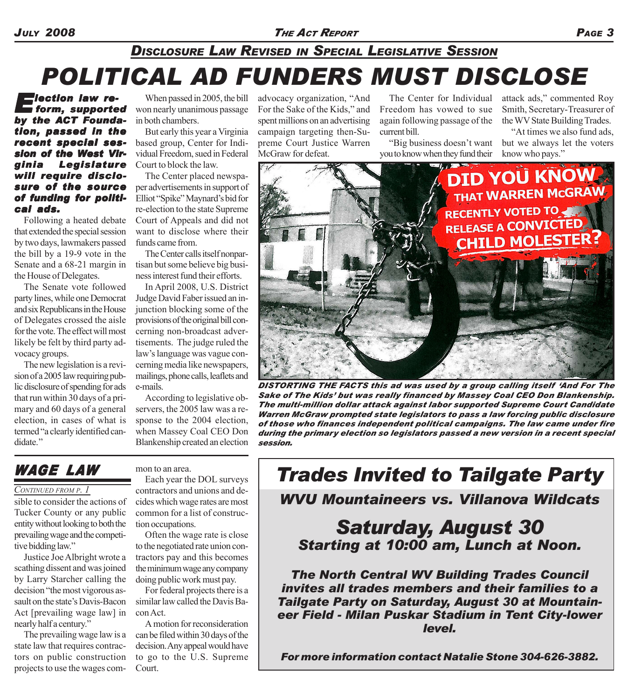#### *JULY 2008 THE ACT REPORT PAGE 3*

### *POLITICAL AD FUNDERS MUST DISCLOSE DISCLOSURE LAW REVISED IN SPECIAL LEGISLATIVE SESSION*

*Election law re- lection reform, supported by the ACT Foundation, passed in the recent special ses- special session of the West Vir- sion of the West Virginia Legislature will require disclo- will require disclosure of the source of funding for politi- funding for political ads. ads.*

Following a heated debate that extended the special session by two days, lawmakers passed the bill by a 19-9 vote in the Senate and a 68-21 margin in the House of Delegates.

The Senate vote followed party lines, while one Democrat and six Republicans in the House of Delegates crossed the aisle for the vote. The effect will most likely be felt by third party advocacy groups.

The new legislation is a revision of a 2005 law requiring public disclosure of spending for ads that run within 30 days of a primary and 60 days of a general election, in cases of what is termed "a clearly identified candidate."

When passed in 2005, the bill won nearly unanimous passage in both chambers.

But early this year a Virginia based group, Center for Individual Freedom, sued in Federal Court to block the law.

The Center placed newspaper advertisements in support of Elliot "Spike" Maynard's bid for re-election to the state Supreme Court of Appeals and did not want to disclose where their funds came from.

The Center calls itself nonpartisan but some believe big business interest fund their efforts.

In April 2008, U.S. District Judge David Faber issued an injunction blocking some of the provisions of the original bill concerning non-broadcast advertisements. The judge ruled the law's language was vague concerning media like newspapers, mailings, phone calls, leaflets and e-mails.

According to legislative observers, the 2005 law was a response to the 2004 election, when Massey Coal CEO Don Blankenship created an election advocacy organization, "And For the Sake of the Kids," and spent millions on an advertising campaign targeting then-Supreme Court Justice Warren McGraw for defeat.

The Center for Individual Freedom has vowed to sue again following passage of the current bill.

"Big business doesn't want you to know when they fund their

attack ads," commented Roy Smith, Secretary-Treasurer of the WV State Building Trades.

"At times we also fund ads, but we always let the voters know who pays."



*DISTORTING THE FACTS this ad was used by a group calling itself 'And For The Sake of The Kids' but was really financed by Massey Coal CEO Don Blankenship. The multi-million dollar attack against labor supported Supreme Court Candidate Warren McGraw prompted state legislators to pass a law forcing public disclosure of those who finances independent political campaigns. The law came under fire during the primary election so legislators passed a new version in a recent special session.*

### *WAGE LAW*

#### *CONTINUED FROM P. 1*

sible to consider the actions of Tucker County or any public entity without looking to both the prevailing wage and the competitive bidding law."

Justice Joe Albright wrote a scathing dissent and was joined by Larry Starcher calling the decision "the most vigorous assault on the state's Davis-Bacon Act [prevailing wage law] in nearly half a century."

The prevailing wage law is a state law that requires contractors on public construction projects to use the wages common to an area.

Each year the DOL surveys contractors and unions and decides which wage rates are most common for a list of construction occupations.

Often the wage rate is close to the negotiated rate union contractors pay and this becomes the minimum wage any company doing public work must pay.

For federal projects there is a similar law called the Davis Bacon Act.

A motion for reconsideration can be filed within 30 days of the decision. Any appeal would have to go to the U.S. Supreme Court.

*Trades Invited to Tailgate Party*

*WVU Mountaineers vs. Villanova Wildcats*

### *Saturday, August 30 Starting at 10:00 am, Lunch at Noon.*

*The North Central WV Building Trades Council invites all trades members and their families to a Tailgate Party on Saturday, August 30 at Mountaineer Field - Milan Puskar Stadium in Tent City-lower level.*

*For more information contact Natalie Stone 304-626-3882.*